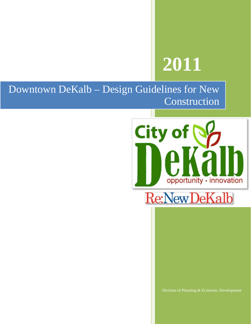# **2011**

Ш

Downtown DeKalb – Design Guidelines for New Construction





Division of Planning & Economic Development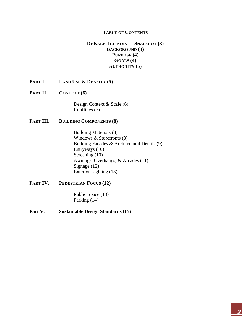#### **TABLE OF CONTENTS**

#### **DEKALB, ILLINOIS --- SNAPSHOT (3) BACKGROUND (3) PURPOSE (4) GOALS (4) AUTHORITY (5)**

- **PART I. LAND USE & DENSITY (5)**
- **PART II. CONTEXT (6)**

Design Context & Scale (6) Rooflines (7)

#### **PART III. BUILDING COMPONENTS (8)**

Building Materials (8) Windows & Storefronts (8) Building Facades & Architectural Details (9) Entryways (10) Screening (10) Awnings, Overhangs, & Arcades (11) Signage (12) Exterior Lighting (13)

## **PART IV. PEDESTRIAN FOCUS (12)**

Public Space (13) Parking (14)

## **Part V. Sustainable Design Standards (15)**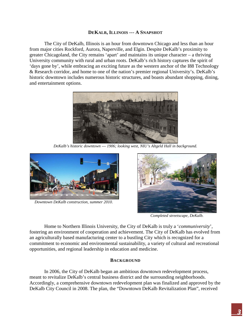#### **DEKALB, ILLINOIS --- A SNAPSHOT**

The City of DeKalb, Illinois is an hour from downtown Chicago and less than an hour from major cities Rockford, Aurora, Naperville, and Elgin. Despite DeKalb's proximity to greater Chicagoland, the City remains 'apart' and maintains its unique character – a thriving University community with rural and urban roots. DeKalb's rich history captures the spirit of 'days gone by', while embracing an exciting future as the western anchor of the I88 Technology & Research corridor, and home to one of the nation's premier regional University's. DeKalb's historic downtown includes numerous historic structures, and boasts abundant shopping, dining, and entertainment options.



*DeKalb's historic downtown --- 1906; looking west, NIU's Altgeld Hall in background.*



*Downtown DeKalb construction, summer 2010.*



*Completed streetscape, DeKalb.*

Home to Northern Illinois University, the City of DeKalb is truly a '*communiversity*', fostering an environment of cooperation and achievement. The City of DeKalb has evolved from an agriculturally based manufacturing center to a bustling City which is recognized for a commitment to economic and environmental sustainability, a variety of cultural and recreational opportunities, and regional leadership in education and medicine.

#### **BACKGROUND**

In 2006, the City of DeKalb began an ambitious downtown redevelopment process, meant to revitalize DeKalb's central business district and the surrounding neighborhoods. Accordingly, a comprehensive downtown redevelopment plan was finalized and approved by the DeKalb City Council in 2008. The plan, the "Downtown DeKalb Revitalization Plan", received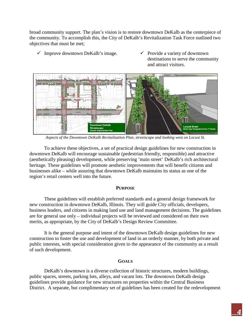broad community support. The plan's vision is to restore downtown DeKalb as the centerpiece of the community. To accomplish this, the City of DeKalb's Revitalization Task Force outlined two objectives that must be met;

- $\checkmark$  Improve downtown DeKalb's image.  $\checkmark$  Provide a variety of downtown
- destinations to serve the community and attract visitors.



*Aspects of the Downtown DeKalb Revitalization Plan, streetscape and looking west on Locust St.*

To achieve these objectives, a set of practical design guidelines for new construction in downtown DeKalb will encourage sustainable (pedestrian friendly, responsible) and attractive (aesthetically pleasing) development, while preserving 'main street' DeKalb's rich architectural heritage. These guidelines will promote aesthetic improvements that will benefit citizens and businesses alike – while assuring that downtown DeKalb maintains its status as one of the region's retail centers well into the future.

#### **PURPOSE**

These guidelines will establish preferred standards and a general design framework for new construction in downtown DeKalb, Illinois. They will guide City officials, developers, business leaders, and citizens in making land use and land management decisions. The guidelines are for general use only – individual projects will be reviewed and considered on their own merits, as appropriate, by the City of DeKalb's Design Review Committee.

It is the general purpose and intent of the downtown DeKalb design guidelines for new construction to foster the use and development of land in an orderly manner, by both private and public interests, with special consideration given to the appearance of the community as a result of such development.

#### **GOALS**

DeKalb's downtown is a diverse collection of historic structures, modern buildings, public spaces, streets, parking lots, alleys, and vacant lots. The downtown DeKalb design guidelines provide guidance for new structures on properties within the Central Business District. A separate, but complimentary set of guidelines has been created for the redevelopment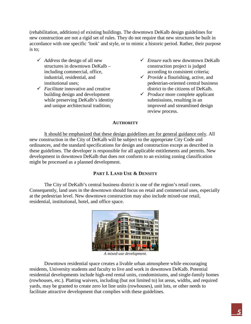(rehabilitation, additions) of existing buildings. The downtown DeKalb design guidelines for new construction are not a rigid set of rules. They do not require that new structures be built in accordance with one specific 'look' and style, or to mimic a historic period. Rather, their purpose is to;

- *Address* the design of all new structures in downtown DeKalb – including commercial, office, industrial, residential, and institutional uses;
- *Facilitate* innovative and creative building design and development while preserving DeKalb's identity and unique architectural tradition;
- *Ensure* each new downtown DeKalb construction project is judged according to consistent criteria;
- *Provide* a flourishing, active, and pedestrian-oriented central business district to the citizens of DeKalb.
- *Produce* more complete applicant submissions, resulting in an improved and streamlined design review process.

# **AUTHORITY**

It should be emphasized that these design guidelines are for general guidance only. All new construction in the City of DeKalb will be subject to the appropriate City Code and ordinances, and the standard specifications for design and construction except as described in these guidelines. The developer is responsible for all applicable entitlements and permits. New development in downtown DeKalb that does not conform to an existing zoning classification might be processed as a planned development.

# **PART I. LAND USE & DENSITY**

The City of DeKalb's central business district is one of the region's retail cores. Consequently, land uses in the downtown should focus on retail and commercial uses, especially at the pedestrian level. New downtown construction may also include mixed-use retail, residential, institutional, hotel, and office space.



*A mixed-use development.*

Downtown residential space creates a livable urban atmosphere while encouraging residents, University students and faculty to live and work in downtown DeKalb. Potential residential developments include high-end rental units, condominiums, and single-family homes (rowhouses, etc.). Platting waivers, including (but not limited to) lot areas, widths, and required yards, may be granted to create zero lot line units (rowhouses), unit lots, or other needs to facilitate attractive development that complies with these guidelines.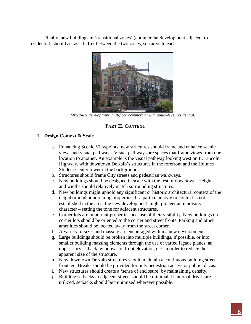Finally, new buildings in 'transitional zones' (commercial development adjacent to residential) should act as a buffer between the two zones, sensitive to each.



*Mixed-use development, first-floor commercial with upper-level residential.*

# **PART II. CONTEXT**

#### **1. Design Context & Scale**

- a. Enhancing Scenic Viewpoints; new structures should frame and enhance scenic views and visual pathways. Visual pathways are spaces that frame views from one location to another. An example is the visual pathway looking west on E. Lincoln Highway, with downtown DeKalb's structures in the forefront and the Holmes Student Center tower in the background.
- b. Structures should frame City streets and pedestrian walkways.
- c. New buildings should be designed in scale with the rest of downtown. Heights and widths should relatively match surrounding structures.
- d. New buildings might uphold any significant or historic architectural context of the neighborhood or adjoining properties. If a particular style or context is not established in the area, the new development might pioneer an innovative character – setting the tone for adjacent structures.
- e. Corner lots are important properties because of their visibility. New buildings on corner lots should be oriented to the corner and street fronts. Parking and other amenities should be located away from the street corner.
- f. A variety of sizes and massing are encouraged within a new development.
- g. Large buildings should be broken into multiple buildings, if possible, or into smaller building massing elements through the use of varied façade planes, an upper story setback, windows on front elevation, etc. in order to reduce the apparent size of the structure.
- h. New downtown DeKalb structures should maintain a continuous building street frontage. Breaks should be provided for only pedestrian access or public plazas.
- i. New structures should create a 'sense of enclosure' by maintaining density.
- j. Building setbacks to adjacent streets should be minimal. If internal drives are utilized, setbacks should be minimized wherever possible.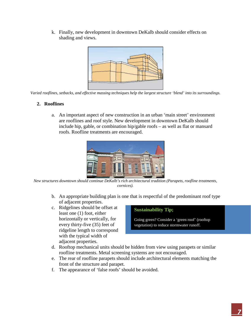k. Finally, new development in downtown DeKalb should consider effects on shading and views.



*Varied rooflines, setbacks, and effective massing techniques help the largest structure 'blend' into its surroundings.*

# **2. Rooflines**

a. An important aspect of new construction in an urban 'main street' environment are rooflines and roof style. New development in downtown DeKalb should include hip, gable, or combination hip/gable roofs  $-$  as well as flat or mansard roofs. Roofline treatments are encouraged.



*New structures downtown should continue DeKalb's rich architectural tradition (Parapets, roofline treatments, cornices).*

- b. An appropriate building plan is one that is respectful of the predominant roof type of adjacent properties.
- c. Ridgelines should be offset at least one (1) foot, either horizontally or vertically, for every thirty-five (35) feet of ridgeline length to correspond with the typical width of adjacent properties.

## **Sustainability Tip;**

Going green? Consider a 'green roof' (rooftop vegetation) to reduce stormwater runoff.

- d. Rooftop mechanical units should be hidden from view using parapets or similar roofline treatments. Metal screening systems are not encouraged.
- e. The rear of roofline parapets should include architectural elements matching the front of the structure and parapet.
- f. The appearance of 'false roofs' should be avoided.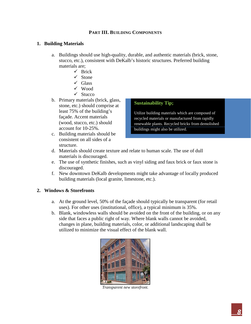## **PART III. BUILDING COMPONENTS**

#### **1. Building Materials**

- a. Buildings should use high-quality, durable, and authentic materials (brick, stone, stucco, etc.), consistent with DeKalb's historic structures. Preferred building materials are;
	- $\checkmark$  Brick
	- $\checkmark$  Stone
	- $\checkmark$  Glass
	- $\checkmark$  Wood
	- $\checkmark$  Stucco
- b. Primary materials (brick, glass, stone, etc.) should comprise at least 75% of the building's façade. Accent materials (wood, stucco, etc.) should account for 10-25%.
- c. Building materials should be consistent on all sides of a structure.

#### **Sustainability Tip;**

Utilize building materials which are composed of recycled materials or manufactured from rapidly renewable plants. Recycled bricks from demolished buildings might also be utilized.

- d. Materials should create texture and relate to human scale. The use of dull materials is discouraged.
- e. The use of synthetic finishes, such as vinyl siding and faux brick or faux stone is discouraged.
- f. New downtown DeKalb developments might take advantage of locally produced building materials (local granite, limestone, etc.).

#### **2. Windows & Storefronts**

- a. At the ground level, 50% of the façade should typically be transparent (for retail uses). For other uses (institutional, office), a typical minimum is 35%.
- b. Blank, windowless walls should be avoided on the front of the building, or on any side that faces a public right of way. Where blank walls cannot be avoided, changes in plane, building materials, color, or additional landscaping shall be utilized to minimize the visual effect of the blank wall.



*Transparent new storefront.*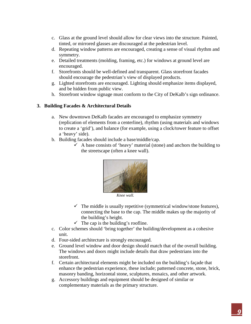- c. Glass at the ground level should allow for clear views into the structure. Painted, tinted, or mirrored glasses are discouraged at the pedestrian level.
- d. Repeating window patterns are encouraged, creating a sense of visual rhythm and symmetry.
- e. Detailed treatments (molding, framing, etc.) for windows at ground level are encouraged.
- f. Storefronts should be well-defined and transparent. Glass storefront facades should encourage the pedestrian's view of displayed products.
- g. Lighted storefronts are encouraged. Lighting should emphasize items displayed, and be hidden from public view.
- h. Storefront window signage must conform to the City of DeKalb's sign ordinance.

## **3. Building Facades & Architectural Details**

- a. New downtown DeKalb facades are encouraged to emphasize symmetry (replication of elements from a centerline), rhythm (using materials and windows to create a 'grid'), and balance (for example, using a clock/tower feature to offset a 'heavy' side).
- b. Building facades should include a base/middle/cap.
	- $\checkmark$  A base consists of 'heavy' material (stone) and anchors the building to the streetscape (often a knee wall).



*Knee wall.*

- $\checkmark$  The middle is usually repetitive (symmetrical window/stone features), connecting the base to the cap. The middle makes up the majority of the building's height.
- $\checkmark$  The cap is the building's roofline.
- c. Color schemes should 'bring together' the building/development as a cohesive unit.
- d. Four-sided architecture is strongly encouraged.
- e. Ground level window and door design should match that of the overall building. The windows and doors might include details that draw pedestrians into the storefront.
- f. Certain architectural elements might be included on the building's façade that enhance the pedestrian experience, these include; patterned concrete, stone, brick, masonry banding, horizontal stone, sculptures, mosaics, and other artwork.
- g. Accessory buildings and equipment should be designed of similar or complementary materials as the primary structure.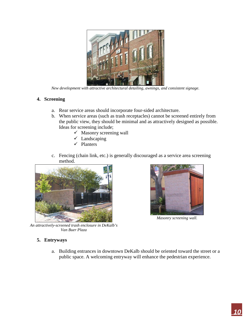

*New development with attractive architectural detailing, awnings, and consistent signage.*

## **4. Screening**

- a. Rear service areas should incorporate four-sided architecture.
- b. When service areas (such as trash receptacles) cannot be screened entirely from the public view, they should be minimal and as attractively designed as possible. Ideas for screening include;
	- $\checkmark$  Masonry screening wall
	- $\checkmark$  Landscaping
	- $\checkmark$  Planters
- c. Fencing (chain link, etc.) is generally discouraged as a service area screening method.



*An attractively-screened trash enclosure in DeKalb's Van Buer Plaza*



*Masonry screening wall.*

## **5. Entryways**

a. Building entrances in downtown DeKalb should be oriented toward the street or a public space. A welcoming entryway will enhance the pedestrian experience.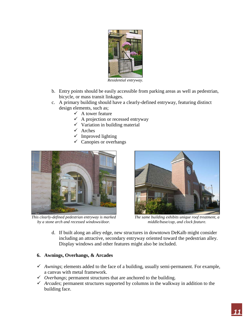

*Residential entryway.*

- b. Entry points should be easily accessible from parking areas as well as pedestrian, bicycle, or mass transit linkages.
- c. A primary building should have a clearly-defined entryway, featuring distinct design elements, such as;
	- $\checkmark$  A tower feature
	- $\checkmark$  A projection or recessed entryway
	- $\checkmark$  Variation in building material
	- $\checkmark$  Arches
	- $\checkmark$  Improved lighting
	- $\checkmark$  Canopies or overhangs



*This clearly-defined pedestrian entryway is marked by a stone arch and recessed windows/door.*



*The same building exhibits unique roof treatment, a middle/base/cap, and clock feature.*

d. If built along an alley edge, new structures in downtown DeKalb might consider including an attractive, secondary entryway oriented toward the pedestrian alley. Display windows and other features might also be included.

# **6. Awnings, Overhangs, & Arcades**

- *Awnings*; elements added to the face of a building, usually semi-permanent. For example, a canvas with metal framework.
- *Overhangs*; permanent structures that are anchored to the building.
- *Arcades*; permanent structures supported by columns in the walkway in addition to the building face.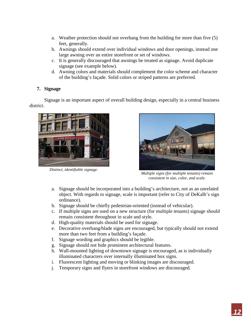- a. Weather protection should not overhang from the building for more than five (5) feet, generally.
- b. Awnings should extend over individual windows and door openings, instead one large awning over an entire storefront or set of windows.
- c. It is generally discouraged that awnings be treated as signage. Avoid duplicate signage (see example below).
- d. Awning colors and materials should complement the color scheme and character of the building's façade. Solid colors or striped patterns are preferred.

# **7. Signage**

Signage is an important aspect of overall building design, especially in a central business district.



*Distinct, identifiable signage.*



*Multiple signs (for multiple tenants) remain consistent in size, color, and scale.*

- a. Signage should be incorporated into a building's architecture, not as an unrelated object. With regards to signage, scale is important (refer to City of DeKalb's sign ordinance).
- b. Signage should be chiefly pedestrian-oriented (instead of vehicular).
- c. If multiple signs are used on a new structure (for multiple tenants) signage should remain consistent throughout in scale and style.
- d. High-quality materials should be used for signage.
- e. Decorative overhang/blade signs are encouraged, but typically should not extend more than two feet from a building's façade.
- f. Signage wording and graphics should be legible.
- g. Signage should not hide prominent architectural features.
- h. Wall-mounted lighting of downtown signage is encouraged, as is individually illuminated characters over internally illuminated box signs.
- i. Fluorescent lighting and moving or blinking images are discouraged.
- j. Temporary signs and flyers in storefront windows are discouraged.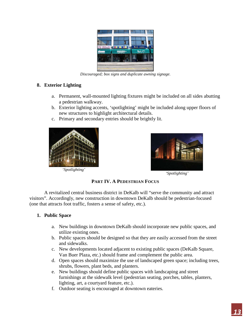

*Discouraged; box signs and duplicate awning signage.*

## **8. Exterior Lighting**

- a. Permanent, wall-mounted lighting fixtures might be included on all sides abutting a pedestrian walkway.
- b. Exterior lighting accents, 'spotlighting' might be included along upper floors of new structures to highlight architectural details.
- c. Primary and secondary entries should be brightly lit.



*'Spotlighting'*



*'Spotlighting'*

**PART IV. A PEDESTRIAN FOCUS**

A revitalized central business district in DeKalb will "serve the community and attract visitors". Accordingly, new construction in downtown DeKalb should be pedestrian-focused (one that attracts foot traffic, fosters a sense of safety, etc.).

## **1. Public Space**

- a. New buildings in downtown DeKalb should incorporate new public spaces, and utilize existing ones.
- b. Public spaces should be designed so that they are easily accessed from the street and sidewalks.
- c. New developments located adjacent to existing public spaces (DeKalb Square, Van Buer Plaza, etc.) should frame and complement the public area.
- d. Open spaces should maximize the use of landscaped green space; including trees, shrubs, flowers, plant beds, and planters.
- e. New buildings should define public spaces with landscaping and street furnishings at the sidewalk level (pedestrian seating, porches, tables, planters, lighting, art, a courtyard feature, etc.).
- f. Outdoor seating is encouraged at downtown eateries.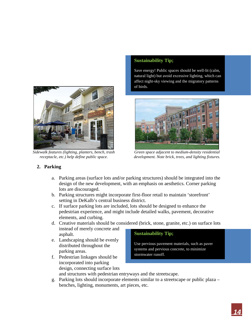

*Sidewalk features (lighting, planters, bench, trash receptacle, etc.) help define public space.*

# **Sustainability Tip;**

Save energy! Public spaces should be well-lit (calm, natural light) but avoid excessive lighting, which can affect night-sky viewing and the migratory patterns of birds.



*Green space adjacent to medium-density residential development. Note brick, trees, and lighting fixtures.*

# **2. Parking**

- a. Parking areas (surface lots and/or parking structures) should be integrated into the design of the new development, with an emphasis on aesthetics. Corner parking lots are discouraged.
- b. Parking structures might incorporate first-floor retail to maintain 'storefront' setting in DeKalb's central business district.
- c. If surface parking lots are included, lots should be designed to enhance the pedestrian experience, and might include detailed walks, pavement, decorative elements, and curbing.
- d. Creative materials should be considered (brick, stone, granite, etc.) on surface lots instead of merely concrete and asphalt. **Sustainability Tip;**
- e. Landscaping should be evenly distributed throughout the parking areas.
- f. Pedestrian linkages should be incorporated into parking design, connecting surface lots

Use pervious pavement materials, such as paver systems and pervious concrete, to minimize stormwater runoff.

and structures with pedestrian entryways and the streetscape.

g. Parking lots should incorporate elements similar to a streetscape or public plaza – benches, lighting, monuments, art pieces, etc.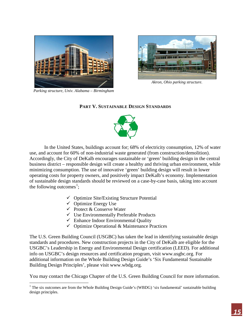



*Akron, Ohio parking structure.*

*Parking structure, Univ. Alabama – Birmingham*

#### **PART V. SUSTAINABLE DESIGN STANDARDS**



In the United States, buildings account for; 68% of electricity consumption, 12% of water use, and account for 60% of non-industrial waste generated (from construction/demolition). Accordingly, the City of DeKalb encourages sustainable or 'green' building design in the central business district – responsible design will create a healthy and thriving urban environment, while minimizing consumption. The use of innovative 'green' building design will result in lower operating costs for property owners, and positively impact DeKalb's economy. Implementation of sustainable design standards should be reviewed on a case-by-case basis, taking into account the following outcomes<sup>[1](#page-14-0)</sup>;

- $\checkmark$  Optimize Site/Existing Structure Potential
- $\checkmark$  Optimize Energy Use

ı

- $\checkmark$  Protect & Conserve Water
- $\checkmark$  Use Environmentally Preferable Products
- $\checkmark$  Enhance Indoor Environmental Quality
- $\checkmark$  Optimize Operational & Maintenance Practices

The U.S. Green Building Council (USGBC) has taken the lead in identifying sustainable design standards and procedures. New construction projects in the City of DeKalb are eligible for the USGBC's Leadership in Energy and Environmental Design certification (LEED). For additional info on USGBC's design resources and certification program, visit www.usgbc.org. For additional information on the Whole Building Design Guide's 'Six Fundamental Sustainable Building Design Principles', please visit www.wbdg.org.

You may contact the Chicago Chapter of the U.S. Green Building Council for more information.

<span id="page-14-0"></span><sup>&</sup>lt;sup>1</sup> The six outcomes are from the Whole Building Design Guide's (WBDG) 'six fundamental' sustainable building design principles.